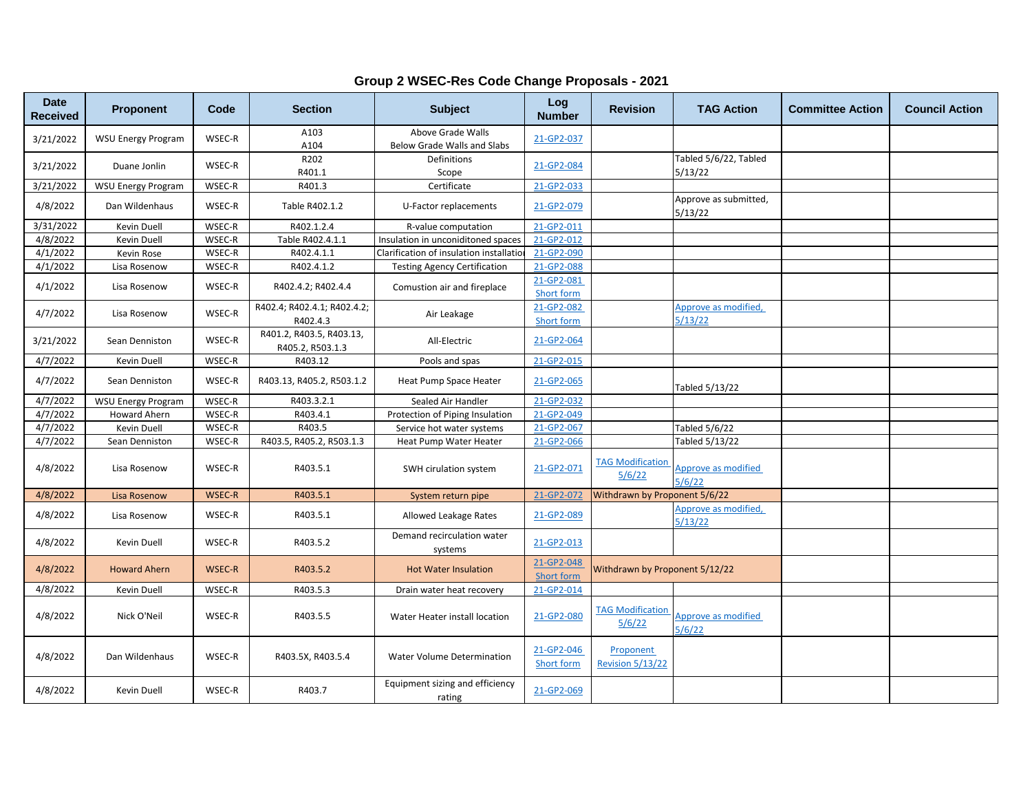| <b>Date</b><br><b>Received</b> | <b>Proponent</b>          | Code          | <b>Section</b>                               | <b>Subject</b>                                   | Log<br><b>Number</b>     | <b>Revision</b>                      | <b>TAG Action</b>                | <b>Committee Action</b> | <b>Council Action</b> |
|--------------------------------|---------------------------|---------------|----------------------------------------------|--------------------------------------------------|--------------------------|--------------------------------------|----------------------------------|-------------------------|-----------------------|
| 3/21/2022                      | <b>WSU Energy Program</b> | WSEC-R        | A103<br>A104                                 | Above Grade Walls<br>Below Grade Walls and Slabs | 21-GP2-037               |                                      |                                  |                         |                       |
| 3/21/2022                      | Duane Jonlin              | WSEC-R        | R202<br>R401.1                               | Definitions<br>Scope                             | 21-GP2-084               |                                      | Tabled 5/6/22, Tabled<br>5/13/22 |                         |                       |
| 3/21/2022                      | <b>WSU Energy Program</b> | WSEC-R        | R401.3                                       | Certificate                                      | 21-GP2-033               |                                      |                                  |                         |                       |
| 4/8/2022                       | Dan Wildenhaus            | WSEC-R        | Table R402.1.2                               | U-Factor replacements                            | 21-GP2-079               |                                      | Approve as submitted,<br>5/13/22 |                         |                       |
| 3/31/2022                      | Kevin Duell               | WSEC-R        | R402.1.2.4                                   | R-value computation                              | 21-GP2-011               |                                      |                                  |                         |                       |
| 4/8/2022                       | Kevin Duell               | WSEC-R        | Table R402.4.1.1                             | Insulation in unconiditoned spaces               | 21-GP2-012               |                                      |                                  |                         |                       |
| 4/1/2022                       | Kevin Rose                | WSEC-R        | R402.4.1.1                                   | Clarification of insulation installatic          | 21-GP2-090               |                                      |                                  |                         |                       |
| 4/1/2022                       | Lisa Rosenow              | WSEC-R        | R402.4.1.2                                   | <b>Testing Agency Certification</b>              | 21-GP2-088               |                                      |                                  |                         |                       |
| 4/1/2022                       | Lisa Rosenow              | WSEC-R        | R402.4.2; R402.4.4                           | Comustion air and fireplace                      | 21-GP2-081<br>Short form |                                      |                                  |                         |                       |
|                                |                           |               | R402.4; R402.4.1; R402.4.2;<br>R402.4.3      | Air Leakage                                      | 21-GP2-082               |                                      | Approve as modified,             |                         |                       |
| 4/7/2022                       | Lisa Rosenow              | WSEC-R        |                                              |                                                  | Short form               |                                      | 5/13/22                          |                         |                       |
| 3/21/2022                      | Sean Denniston            | WSEC-R        | R401.2, R403.5, R403.13,<br>R405.2, R503.1.3 | All-Electric                                     | 21-GP2-064               |                                      |                                  |                         |                       |
| 4/7/2022                       | Kevin Duell               | WSEC-R        | R403.12                                      | Pools and spas                                   | 21-GP2-015               |                                      |                                  |                         |                       |
| 4/7/2022                       | Sean Denniston            | WSEC-R        | R403.13, R405.2, R503.1.2                    | Heat Pump Space Heater                           | 21-GP2-065               |                                      | Tabled 5/13/22                   |                         |                       |
| 4/7/2022                       | <b>WSU Energy Program</b> | WSEC-R        | R403.3.2.1                                   | Sealed Air Handler                               | 21-GP2-032               |                                      |                                  |                         |                       |
| 4/7/2022                       | Howard Ahern              | WSEC-R        | R403.4.1                                     | Protection of Piping Insulation                  | 21-GP2-049               |                                      |                                  |                         |                       |
| 4/7/2022                       | Kevin Duell               | WSEC-R        | R403.5                                       | Service hot water systems                        | 21-GP2-067               |                                      | Tabled 5/6/22                    |                         |                       |
| 4/7/2022                       | Sean Denniston            | WSEC-R        | R403.5, R405.2, R503.1.3                     | Heat Pump Water Heater                           | 21-GP2-066               |                                      | Tabled 5/13/22                   |                         |                       |
| 4/8/2022                       | Lisa Rosenow              | WSEC-R        | R403.5.1                                     | SWH cirulation system                            | 21-GP2-071               | <b>TAG Modification</b><br>5/6/22    | Approve as modified<br>5/6/22    |                         |                       |
| 4/8/2022                       | <b>Lisa Rosenow</b>       | <b>WSEC-R</b> | R403.5.1                                     | System return pipe                               | 21-GP2-072               | Withdrawn by Proponent 5/6/22        |                                  |                         |                       |
| 4/8/2022                       | Lisa Rosenow              | WSEC-R        | R403.5.1                                     | Allowed Leakage Rates                            | 21-GP2-089               |                                      | Approve as modified,<br>5/13/22  |                         |                       |
| 4/8/2022                       | Kevin Duell               | WSEC-R        | R403.5.2                                     | Demand recirculation water<br>systems            | 21-GP2-013               |                                      |                                  |                         |                       |
| 4/8/2022                       | <b>Howard Ahern</b>       | <b>WSEC-R</b> | R403.5.2                                     | <b>Hot Water Insulation</b>                      | 21-GP2-048<br>Short form | Withdrawn by Proponent 5/12/22       |                                  |                         |                       |
| 4/8/2022                       | Kevin Duell               | WSEC-R        | R403.5.3                                     | Drain water heat recovery                        | 21-GP2-014               |                                      |                                  |                         |                       |
| 4/8/2022                       | Nick O'Neil               | WSEC-R        | R403.5.5                                     | Water Heater install location                    | 21-GP2-080               | <b>TAG Modification</b><br>5/6/22    | Approve as modified<br>5/6/22    |                         |                       |
| 4/8/2022                       | Dan Wildenhaus            | WSEC-R        | R403.5X, R403.5.4                            | Water Volume Determination                       | 21-GP2-046<br>Short form | Proponent<br><b>Revision 5/13/22</b> |                                  |                         |                       |
| 4/8/2022                       | Kevin Duell               | WSEC-R        | R403.7                                       | Equipment sizing and efficiency<br>rating        | 21-GP2-069               |                                      |                                  |                         |                       |

**Group 2 WSEC-Res Code Change Proposals - 2021**